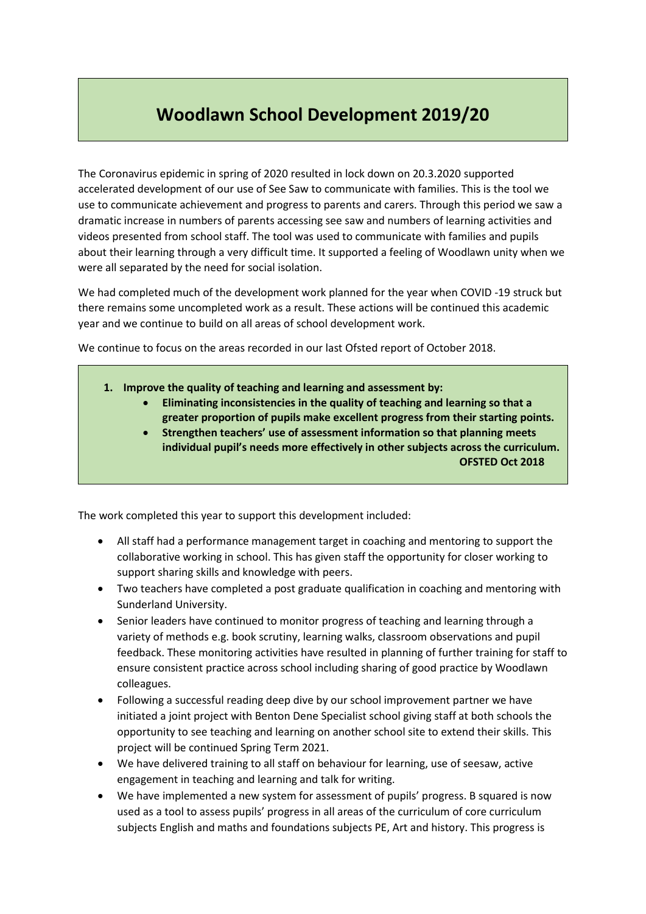## **Woodlawn School Development 2019/20**

The Coronavirus epidemic in spring of 2020 resulted in lock down on 20.3.2020 supported accelerated development of our use of See Saw to communicate with families. This is the tool we use to communicate achievement and progress to parents and carers. Through this period we saw a dramatic increase in numbers of parents accessing see saw and numbers of learning activities and videos presented from school staff. The tool was used to communicate with families and pupils about their learning through a very difficult time. It supported a feeling of Woodlawn unity when we were all separated by the need for social isolation.

We had completed much of the development work planned for the year when COVID -19 struck but there remains some uncompleted work as a result. These actions will be continued this academic year and we continue to build on all areas of school development work.

We continue to focus on the areas recorded in our last Ofsted report of October 2018.

- **1. Improve the quality of teaching and learning and assessment by:**
	- **Eliminating inconsistencies in the quality of teaching and learning so that a greater proportion of pupils make excellent progress from their starting points.**
	- **Strengthen teachers' use of assessment information so that planning meets individual pupil's needs more effectively in other subjects across the curriculum. OFSTED Oct 2018**

The work completed this year to support this development included:

- All staff had a performance management target in coaching and mentoring to support the collaborative working in school. This has given staff the opportunity for closer working to support sharing skills and knowledge with peers.
- Two teachers have completed a post graduate qualification in coaching and mentoring with Sunderland University.
- Senior leaders have continued to monitor progress of teaching and learning through a variety of methods e.g. book scrutiny, learning walks, classroom observations and pupil feedback. These monitoring activities have resulted in planning of further training for staff to ensure consistent practice across school including sharing of good practice by Woodlawn colleagues.
- Following a successful reading deep dive by our school improvement partner we have initiated a joint project with Benton Dene Specialist school giving staff at both schools the opportunity to see teaching and learning on another school site to extend their skills. This project will be continued Spring Term 2021.
- We have delivered training to all staff on behaviour for learning, use of seesaw, active engagement in teaching and learning and talk for writing.
- We have implemented a new system for assessment of pupils' progress. B squared is now used as a tool to assess pupils' progress in all areas of the curriculum of core curriculum subjects English and maths and foundations subjects PE, Art and history. This progress is